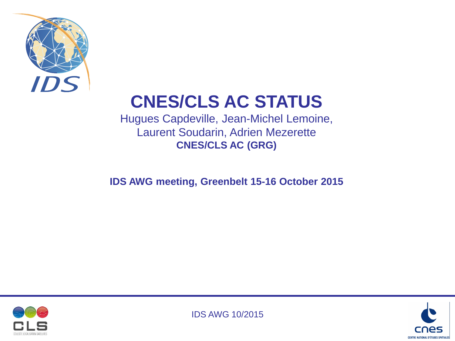

# **CNES/CLS AC STATUS**

Hugues Capdeville, Jean-Michel Lemoine, Laurent Soudarin, Adrien Mezerette **CNES/CLS AC (GRG)**

**IDS AWG meeting, Greenbelt 15-16 October 2015**





IDS AWG 10/2015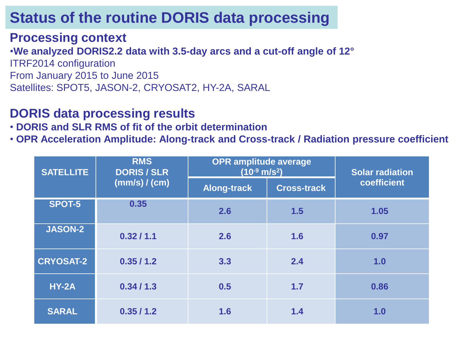#### **Processing context**

•**We analyzed DORIS2.2 data with 3.5-day arcs and a cut-off angle of 12°** ITRF2014 configuration From January 2015 to June 2015 Satellites: SPOT5, JASON-2, CRYOSAT2, HY-2A, SARAL

#### **DORIS data processing results**

• **DORIS and SLR RMS of fit of the orbit determination**

• **OPR Acceleration Amplitude: Along-track and Cross-track / Radiation pressure coefficient** 

| <b>SATELLITE</b> | <b>RMS</b><br><b>DORIS / SLR</b><br>(mm/s) / (cm) | <b>OPR amplitude average</b><br>$(10^{-9} \text{ m/s}^2)$ |                    | <b>Solar radiation</b> |
|------------------|---------------------------------------------------|-----------------------------------------------------------|--------------------|------------------------|
|                  |                                                   | <b>Along-track</b>                                        | <b>Cross-track</b> | coefficient            |
| <b>SPOT-5</b>    | 0.35                                              | 2.6                                                       | 1.5                | 1.05                   |
| <b>JASON-2</b>   | 0.32/1.1                                          | 2.6                                                       | 1.6                | 0.97                   |
| <b>CRYOSAT-2</b> | 0.35/1.2                                          | 3.3                                                       | 2.4                | 1.0                    |
| <b>HY-2A</b>     | 0.34/1.3                                          | 0.5                                                       | 1.7                | 0.86                   |
| <b>SARAL</b>     | 0.35/1.2                                          | 1.6                                                       | 1.4                | 1.0                    |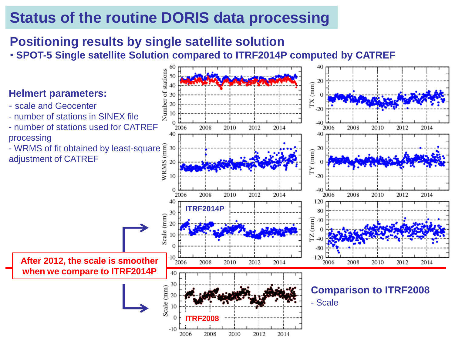### **Positioning results by single satellite solution**

• **SPOT-5 Single satellite Solution compared to ITRF2014P computed by CATREF**

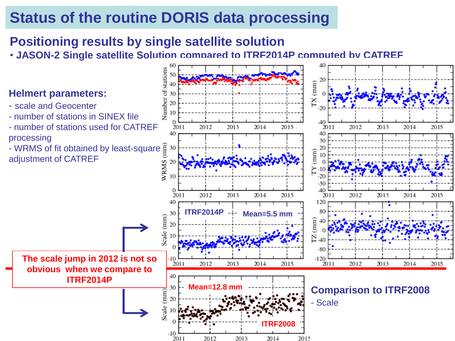### **Positioning results by single satellite solution**

• **JASON-2 Single satellite Solution compared to ITRF2014P computed by CATREF**

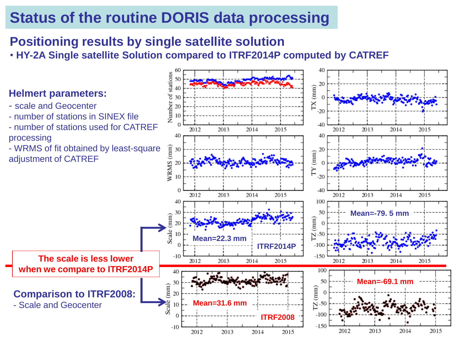### **Positioning results by single satellite solution**

• **HY-2A Single satellite Solution compared to ITRF2014P computed by CATREF**

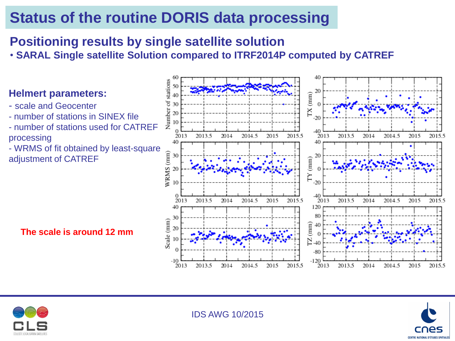### **Positioning results by single satellite solution**

• **SARAL Single satellite Solution compared to ITRF2014P computed by CATREF**

#### **Helmert parameters:**

- scale and Geocenter
- number of stations in SINEX file
- number of stations used for CATREF processing
- WRMS of fit obtained by least-square adjustment of CATREF

**The scale is around 12 mm**





IDS AWG 10/2015

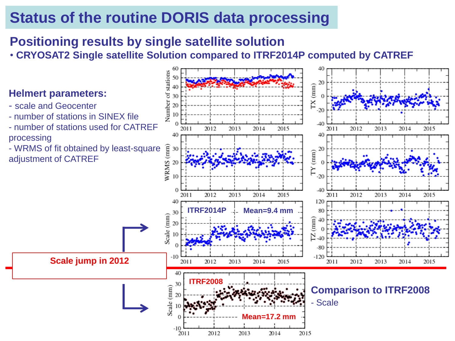### **Positioning results by single satellite solution**

• **CRYOSAT2 Single satellite Solution compared to ITRF2014P computed by CATREF**

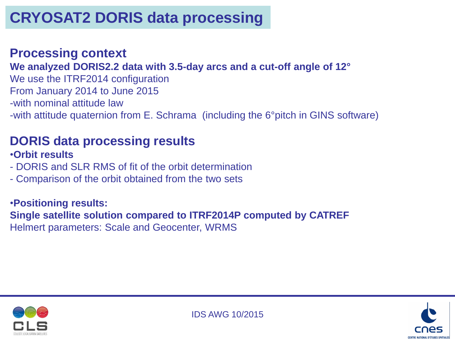### **Processing context**

**We analyzed DORIS2.2 data with 3.5-day arcs and a cut-off angle of 12°**

We use the ITRF2014 configuration From January 2014 to June 2015 -with nominal attitude law -with attitude quaternion from E. Schrama (including the 6°pitch in GINS software)

### **DORIS data processing results**

•**Orbit results**

- DORIS and SLR RMS of fit of the orbit determination
- Comparison of the orbit obtained from the two sets

•**Positioning results: Single satellite solution compared to ITRF2014P computed by CATREF** Helmert parameters: Scale and Geocenter, WRMS



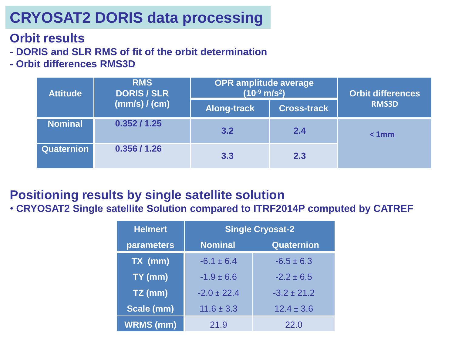## **CRYOSAT2 DORIS data processing**

### **Orbit results**

- **DORIS and SLR RMS of fit of the orbit determination**
- **- Orbit differences RMS3D**

| <b>Attitude</b> | <b>RMS</b><br><b>DORIS / SLR</b><br>(mm/s) / (cm) | <b>OPR amplitude average</b><br>$(10^{-9}$ m/s <sup>2</sup> ) |                    | <b>Orbit differences</b> |
|-----------------|---------------------------------------------------|---------------------------------------------------------------|--------------------|--------------------------|
|                 |                                                   | <b>Along-track</b>                                            | <b>Cross-track</b> | <b>RMS3D</b>             |
| <b>Nominal</b>  | 0.352 / 1.25                                      | 3.2                                                           | 2.4                | < 1mm                    |
| Quaternion      | 0.356 / 1.26                                      | 3.3                                                           | 2.3                |                          |

### **Positioning results by single satellite solution**

• **CRYOSAT2 Single satellite Solution compared to ITRF2014P computed by CATREF**

| <b>Helmert</b>   | <b>Single Cryosat-2</b> |                   |  |  |
|------------------|-------------------------|-------------------|--|--|
| parameters       | <b>Nominal</b>          | <b>Quaternion</b> |  |  |
| TX (mm)          | $-6.1 \pm 6.4$          | $-6.5 \pm 6.3$    |  |  |
| TY (mm)          | $-1.9 \pm 6.6$          | $-2.2 \pm 6.5$    |  |  |
| $TZ$ (mm)        | $-2.0 \pm 22.4$         | $-3.2 \pm 21.2$   |  |  |
| Scale (mm)       | $11.6 \pm 3.3$          | $12.4 \pm 3.6$    |  |  |
| <b>WRMS (mm)</b> | 21.9                    | 22.0              |  |  |